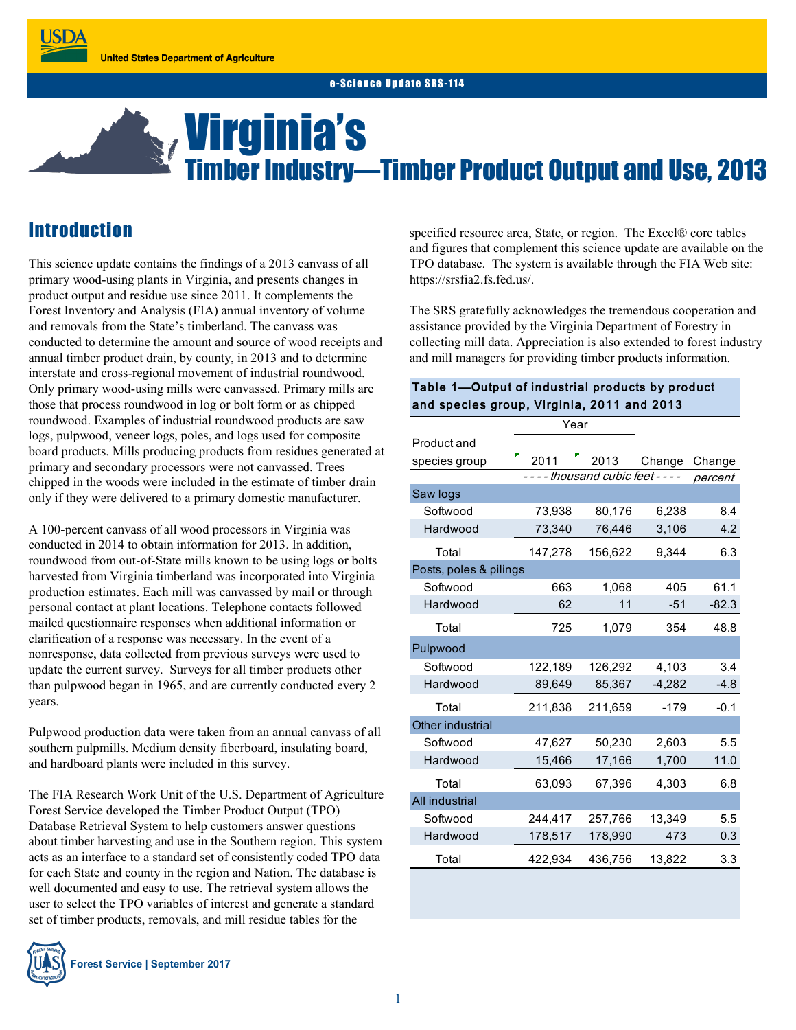# Virginia's Timber Industry—Timber Product Output and Use, 2013

## **Introduction**

This science update contains the findings of a 2013 canvass of all primary wood-using plants in Virginia, and presents changes in product output and residue use since 2011. It complements the Forest Inventory and Analysis (FIA) annual inventory of volume and removals from the State's timberland. The canvass was conducted to determine the amount and source of wood receipts and annual timber product drain, by county, in 2013 and to determine interstate and cross-regional movement of industrial roundwood. Only primary wood-using mills were canvassed. Primary mills are those that process roundwood in log or bolt form or as chipped roundwood. Examples of industrial roundwood products are saw logs, pulpwood, veneer logs, poles, and logs used for composite board products. Mills producing products from residues generated at primary and secondary processors were not canvassed. Trees chipped in the woods were included in the estimate of timber drain only if they were delivered to a primary domestic manufacturer.

A 100-percent canvass of all wood processors in Virginia was conducted in 2014 to obtain information for 2013. In addition, roundwood from out-of-State mills known to be using logs or bolts harvested from Virginia timberland was incorporated into Virginia production estimates. Each mill was canvassed by mail or through personal contact at plant locations. Telephone contacts followed mailed questionnaire responses when additional information or clarification of a response was necessary. In the event of a nonresponse, data collected from previous surveys were used to update the current survey. Surveys for all timber products other than pulpwood began in 1965, and are currently conducted every 2 years.

Pulpwood production data were taken from an annual canvass of all southern pulpmills. Medium density fiberboard, insulating board, and hardboard plants were included in this survey.

The FIA Research Work Unit of the U.S. Department of Agriculture Forest Service developed the Timber Product Output (TPO) Database Retrieval System to help customers answer questions about timber harvesting and use in the Southern region. This system acts as an interface to a standard set of consistently coded TPO data for each State and county in the region and Nation. The database is well documented and easy to use. The retrieval system allows the user to select the TPO variables of interest and generate a standard set of timber products, removals, and mill residue tables for the



specified resource area, State, or region. The Excel® core tables and figures that complement this science update are available on the TPO database. The system is available through the FIA Web site: https://srsfia2.fs.fed.us/.

The SRS gratefully acknowledges the tremendous cooperation and assistance provided by the Virginia Department of Forestry in collecting mill data. Appreciation is also extended to forest industry and mill managers for providing timber products information.

#### Table 1—Output of industrial products by product and species group, Virginia, 2011 and 2013

|                        | Year                          |         |          |         |
|------------------------|-------------------------------|---------|----------|---------|
| Product and            |                               |         |          |         |
| species group          | 2011                          | 2013    | Change   | Change  |
|                        | ---- thousand cubic feet ---- |         |          | percent |
| Saw logs               |                               |         |          |         |
| Softwood               | 73,938                        | 80,176  | 6,238    | 8.4     |
| Hardwood               | 73,340                        | 76,446  | 3,106    | 4.2     |
| Total                  | 147,278                       | 156,622 | 9,344    | 6.3     |
| Posts, poles & pilings |                               |         |          |         |
| Softwood               | 663                           | 1,068   | 405      | 61.1    |
| Hardwood               | 62                            | 11      | $-51$    | $-82.3$ |
| Total                  | 725                           | 1,079   | 354      | 48.8    |
| Pulpwood               |                               |         |          |         |
| Softwood               | 122,189                       | 126,292 | 4,103    | 3.4     |
| Hardwood               | 89,649                        | 85,367  | $-4,282$ | $-4.8$  |
| Total                  | 211,838                       | 211,659 | $-179$   | $-0.1$  |
| Other industrial       |                               |         |          |         |
| Softwood               | 47,627                        | 50,230  | 2,603    | 5.5     |
| Hardwood               | 15,466                        | 17,166  | 1,700    | 11.0    |
| Total                  | 63,093                        | 67,396  | 4,303    | 6.8     |
| All industrial         |                               |         |          |         |
| Softwood               | 244,417                       | 257,766 | 13,349   | 5.5     |
| Hardwood               | 178,517                       | 178,990 | 473      | 0.3     |
| Total                  | 422,934                       | 436,756 | 13,822   | 3.3     |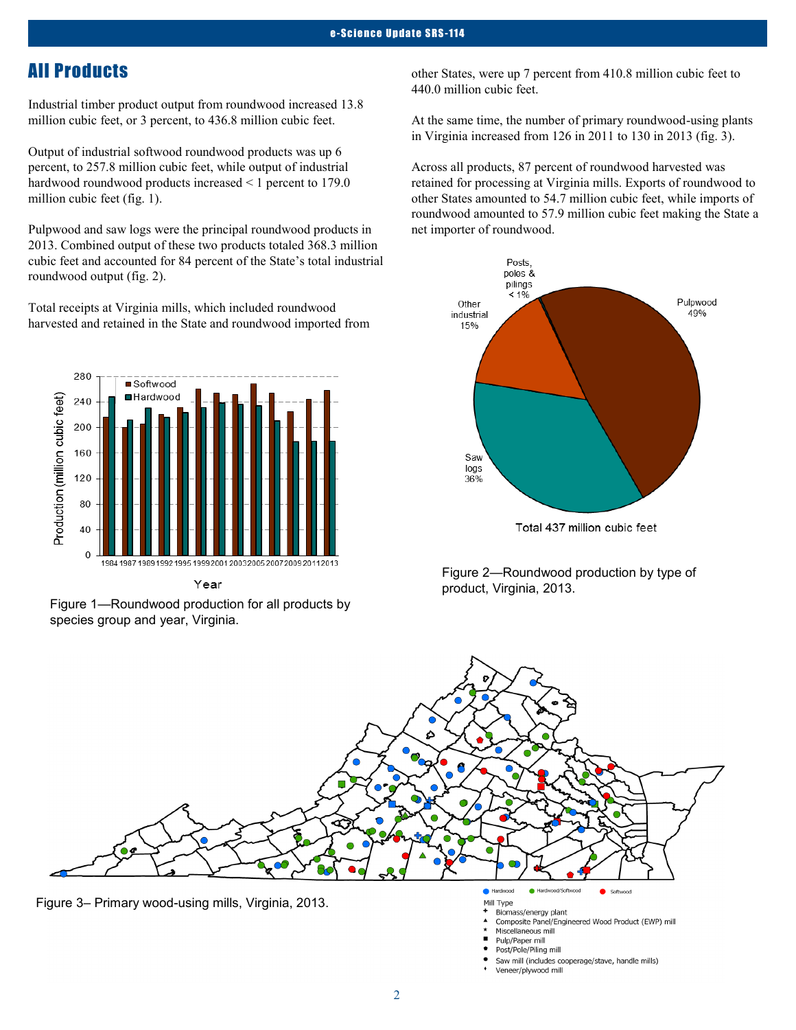## All Products

Industrial timber product output from roundwood increased 13.8 million cubic feet, or 3 percent, to 436.8 million cubic feet.

Output of industrial softwood roundwood products was up 6 percent, to 257.8 million cubic feet, while output of industrial hardwood roundwood products increased < 1 percent to 179.0 million cubic feet (fig. 1).

Pulpwood and saw logs were the principal roundwood products in 2013. Combined output of these two products totaled 368.3 million cubic feet and accounted for 84 percent of the State's total industrial roundwood output (fig. 2).

Total receipts at Virginia mills, which included roundwood harvested and retained in the State and roundwood imported from



Year

Figure 1—Roundwood production for all products by species group and year, Virginia.

other States, were up 7 percent from 410.8 million cubic feet to 440.0 million cubic feet.

At the same time, the number of primary roundwood-using plants in Virginia increased from 126 in 2011 to 130 in 2013 (fig. 3).

Across all products, 87 percent of roundwood harvested was retained for processing at Virginia mills. Exports of roundwood to other States amounted to 54.7 million cubic feet, while imports of roundwood amounted to 57.9 million cubic feet making the State a net importer of roundwood.



Figure 2—Roundwood production by type of product, Virginia, 2013.



Composite Panel/Engineered Wood Product (EWP) mill

- Miscellaneous mill
- Pulp/Paper mill Post/Pole/Piling mill
- 
- Saw mill (includes cooperage/stave, handle mills) Veneer/plywood mill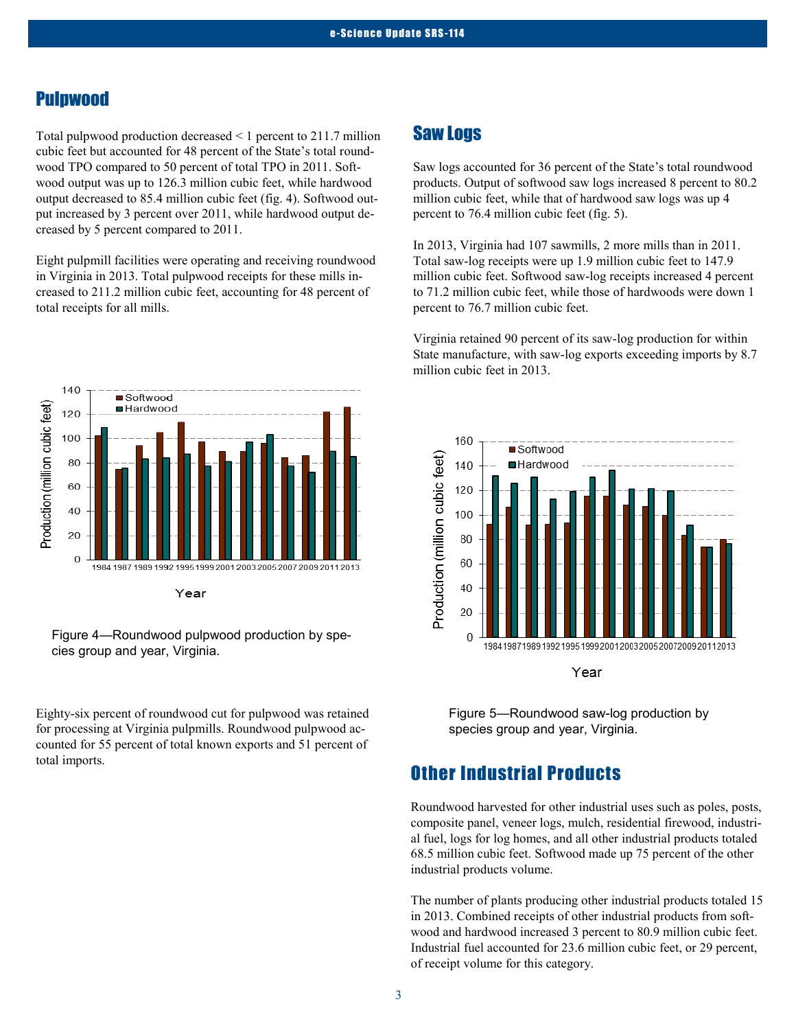#### Pulpwood

Total pulpwood production decreased < 1 percent to 211.7 million cubic feet but accounted for 48 percent of the State's total roundwood TPO compared to 50 percent of total TPO in 2011. Softwood output was up to 126.3 million cubic feet, while hardwood output decreased to 85.4 million cubic feet (fig. 4). Softwood output increased by 3 percent over 2011, while hardwood output decreased by 5 percent compared to 2011.

Eight pulpmill facilities were operating and receiving roundwood in Virginia in 2013. Total pulpwood receipts for these mills increased to 211.2 million cubic feet, accounting for 48 percent of total receipts for all mills.



Figure 4—Roundwood pulpwood production by species group and year, Virginia.

Eighty-six percent of roundwood cut for pulpwood was retained for processing at Virginia pulpmills. Roundwood pulpwood accounted for 55 percent of total known exports and 51 percent of total imports.

### Saw Logs

Saw logs accounted for 36 percent of the State's total roundwood products. Output of softwood saw logs increased 8 percent to 80.2 million cubic feet, while that of hardwood saw logs was up 4 percent to 76.4 million cubic feet (fig. 5).

In 2013, Virginia had 107 sawmills, 2 more mills than in 2011. Total saw-log receipts were up 1.9 million cubic feet to 147.9 million cubic feet. Softwood saw-log receipts increased 4 percent to 71.2 million cubic feet, while those of hardwoods were down 1 percent to 76.7 million cubic feet.

Virginia retained 90 percent of its saw-log production for within State manufacture, with saw-log exports exceeding imports by 8.7 million cubic feet in 2013.



Figure 5—Roundwood saw-log production by species group and year, Virginia.

## Other Industrial Products

Roundwood harvested for other industrial uses such as poles, posts, composite panel, veneer logs, mulch, residential firewood, industrial fuel, logs for log homes, and all other industrial products totaled 68.5 million cubic feet. Softwood made up 75 percent of the other industrial products volume.

The number of plants producing other industrial products totaled 15 in 2013. Combined receipts of other industrial products from softwood and hardwood increased 3 percent to 80.9 million cubic feet. Industrial fuel accounted for 23.6 million cubic feet, or 29 percent, of receipt volume for this category.